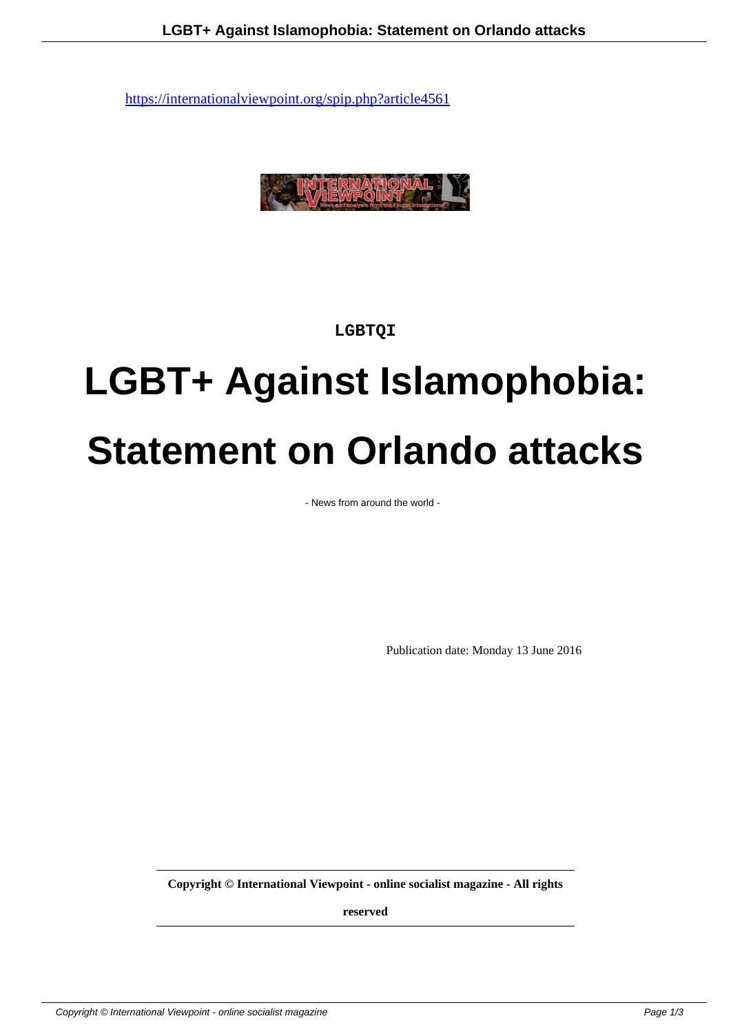

## **LGBTQI**

## **LGBT+ Against Islamophobia: Statement on Orlando attacks**

- News from around the world -

Publication date: Monday 13 June 2016

**Copyright © International Viewpoint - online socialist magazine - All rights**

**reserved**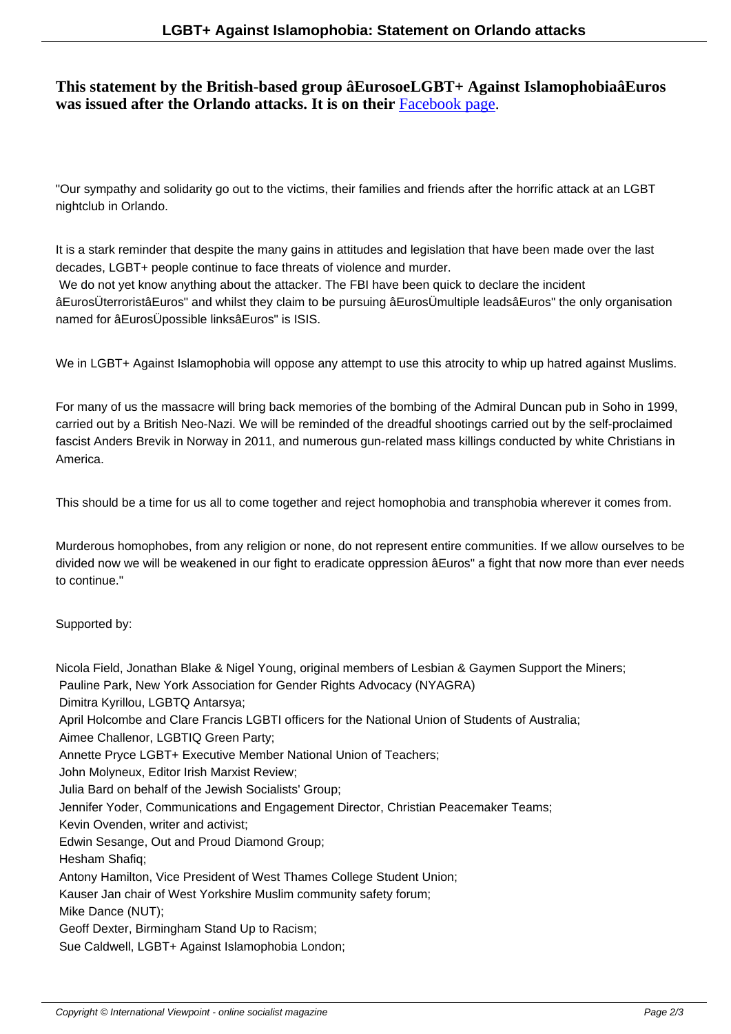## **This statement by the British-based group âEurosoeLGBT+ Against IslamophobiaâEuros was issued after the Orlando attacks. It is on their** Facebook page.

"Our sympathy and solidarity go out to the victims, their families and friends after the horrific attack at an LGBT nightclub in Orlando.

It is a stark reminder that despite the many gains in attitudes and legislation that have been made over the last decades, LGBT+ people continue to face threats of violence and murder.

 We do not yet know anything about the attacker. The FBI have been quick to declare the incident âEurosÜterroristâEuros" and whilst they claim to be pursuing âEurosÜmultiple leadsâEuros" the only organisation named for âEurosÜpossible linksâEuros" is ISIS.

We in LGBT+ Against Islamophobia will oppose any attempt to use this atrocity to whip up hatred against Muslims.

For many of us the massacre will bring back memories of the bombing of the Admiral Duncan pub in Soho in 1999, carried out by a British Neo-Nazi. We will be reminded of the dreadful shootings carried out by the self-proclaimed fascist Anders Brevik in Norway in 2011, and numerous gun-related mass killings conducted by white Christians in America.

This should be a time for us all to come together and reject homophobia and transphobia wherever it comes from.

Murderous homophobes, from any religion or none, do not represent entire communities. If we allow ourselves to be divided now we will be weakened in our fight to eradicate oppression âEuros" a fight that now more than ever needs to continue."

Supported by:

Nicola Field, Jonathan Blake & Nigel Young, original members of Lesbian & Gaymen Support the Miners; Pauline Park, New York Association for Gender Rights Advocacy (NYAGRA) Dimitra Kyrillou, LGBTQ Antarsya; April Holcombe and Clare Francis LGBTI officers for the National Union of Students of Australia; Aimee Challenor, LGBTIQ Green Party; Annette Pryce LGBT+ Executive Member National Union of Teachers; John Molyneux, Editor Irish Marxist Review; Julia Bard on behalf of the Jewish Socialists' Group; Jennifer Yoder, Communications and Engagement Director, Christian Peacemaker Teams; Kevin Ovenden, writer and activist; Edwin Sesange, Out and Proud Diamond Group; Hesham Shafiq; Antony Hamilton, Vice President of West Thames College Student Union; Kauser Jan chair of West Yorkshire Muslim community safety forum; Mike Dance (NUT); Geoff Dexter, Birmingham Stand Up to Racism; Sue Caldwell, LGBT+ Against Islamophobia London;